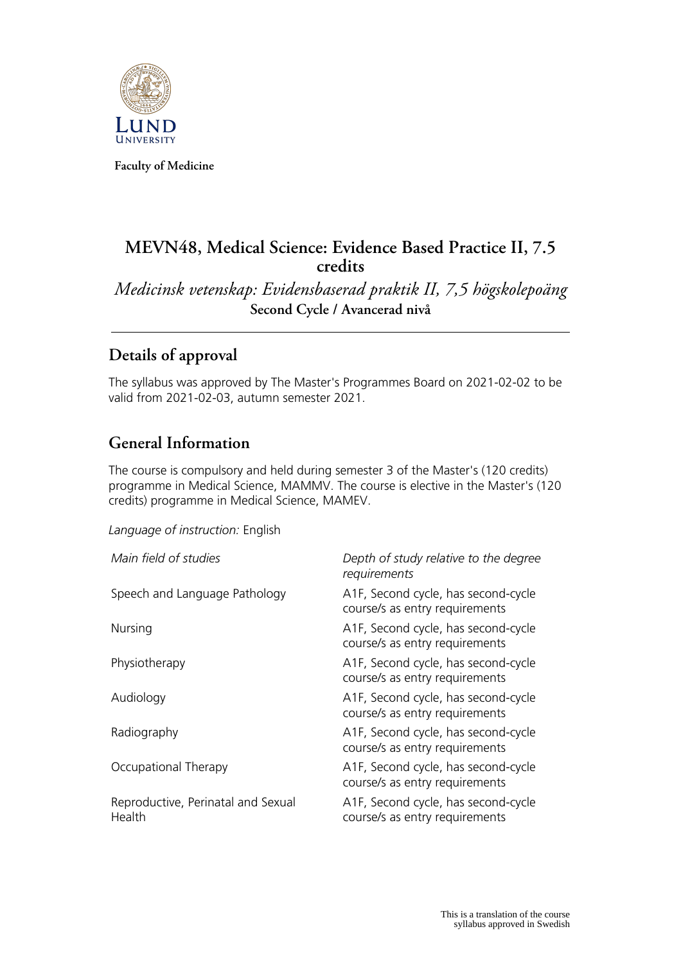

**Faculty of Medicine**

# **MEVN48, Medical Science: Evidence Based Practice II, 7.5 credits**

*Medicinsk vetenskap: Evidensbaserad praktik II, 7,5 högskolepoäng* **Second Cycle / Avancerad nivå**

# **Details of approval**

The syllabus was approved by The Master's Programmes Board on 2021-02-02 to be valid from 2021-02-03, autumn semester 2021.

## **General Information**

The course is compulsory and held during semester 3 of the Master's (120 credits) programme in Medical Science, MAMMV. The course is elective in the Master's (120 credits) programme in Medical Science, MAMEV.

*Language of instruction:* English

| Main field of studies                        | Depth of study relative to the degree<br>requirements                 |
|----------------------------------------------|-----------------------------------------------------------------------|
| Speech and Language Pathology                | A1F, Second cycle, has second-cycle<br>course/s as entry requirements |
| Nursing                                      | A1F, Second cycle, has second-cycle<br>course/s as entry requirements |
| Physiotherapy                                | A1F, Second cycle, has second-cycle<br>course/s as entry requirements |
| Audiology                                    | A1F, Second cycle, has second-cycle<br>course/s as entry requirements |
| Radiography                                  | A1F, Second cycle, has second-cycle<br>course/s as entry requirements |
| Occupational Therapy                         | A1F, Second cycle, has second-cycle<br>course/s as entry requirements |
| Reproductive, Perinatal and Sexual<br>Health | A1F, Second cycle, has second-cycle<br>course/s as entry requirements |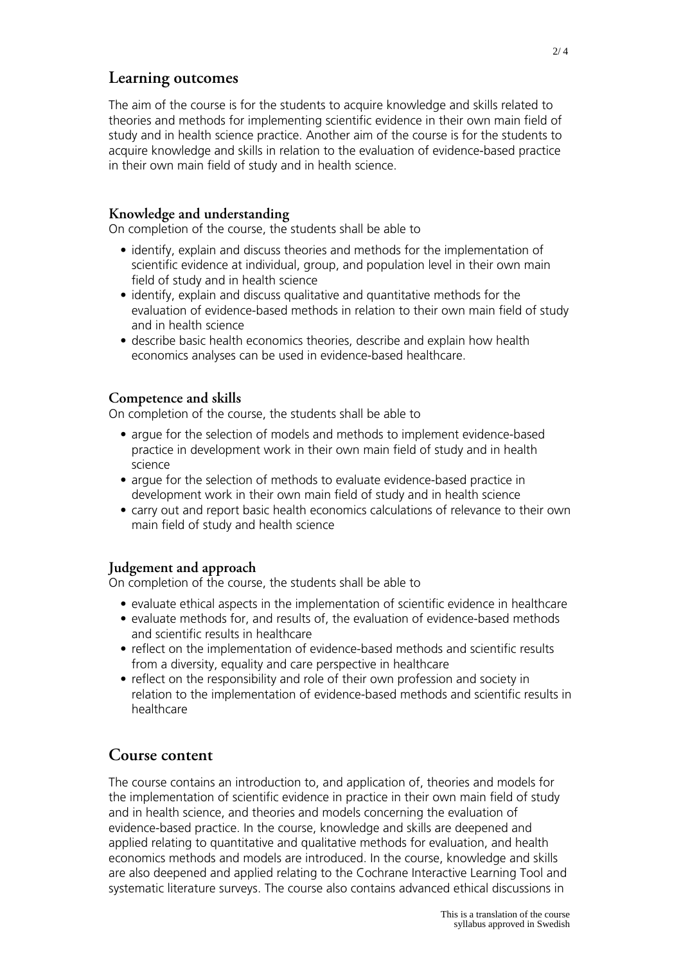### **Learning outcomes**

The aim of the course is for the students to acquire knowledge and skills related to theories and methods for implementing scientific evidence in their own main field of study and in health science practice. Another aim of the course is for the students to acquire knowledge and skills in relation to the evaluation of evidence-based practice in their own main field of study and in health science.

#### **Knowledge and understanding**

On completion of the course, the students shall be able to

- identify, explain and discuss theories and methods for the implementation of scientific evidence at individual, group, and population level in their own main field of study and in health science
- identify, explain and discuss qualitative and quantitative methods for the evaluation of evidence-based methods in relation to their own main field of study and in health science
- describe basic health economics theories, describe and explain how health economics analyses can be used in evidence-based healthcare.

### **Competence and skills**

On completion of the course, the students shall be able to

- argue for the selection of models and methods to implement evidence-based practice in development work in their own main field of study and in health science
- argue for the selection of methods to evaluate evidence-based practice in development work in their own main field of study and in health science
- carry out and report basic health economics calculations of relevance to their own main field of study and health science

### **Judgement and approach**

On completion of the course, the students shall be able to

- evaluate ethical aspects in the implementation of scientific evidence in healthcare
- evaluate methods for, and results of, the evaluation of evidence-based methods and scientific results in healthcare
- reflect on the implementation of evidence-based methods and scientific results from a diversity, equality and care perspective in healthcare
- reflect on the responsibility and role of their own profession and society in relation to the implementation of evidence-based methods and scientific results in healthcare

### **Course content**

The course contains an introduction to, and application of, theories and models for the implementation of scientific evidence in practice in their own main field of study and in health science, and theories and models concerning the evaluation of evidence-based practice. In the course, knowledge and skills are deepened and applied relating to quantitative and qualitative methods for evaluation, and health economics methods and models are introduced. In the course, knowledge and skills are also deepened and applied relating to the Cochrane Interactive Learning Tool and systematic literature surveys. The course also contains advanced ethical discussions in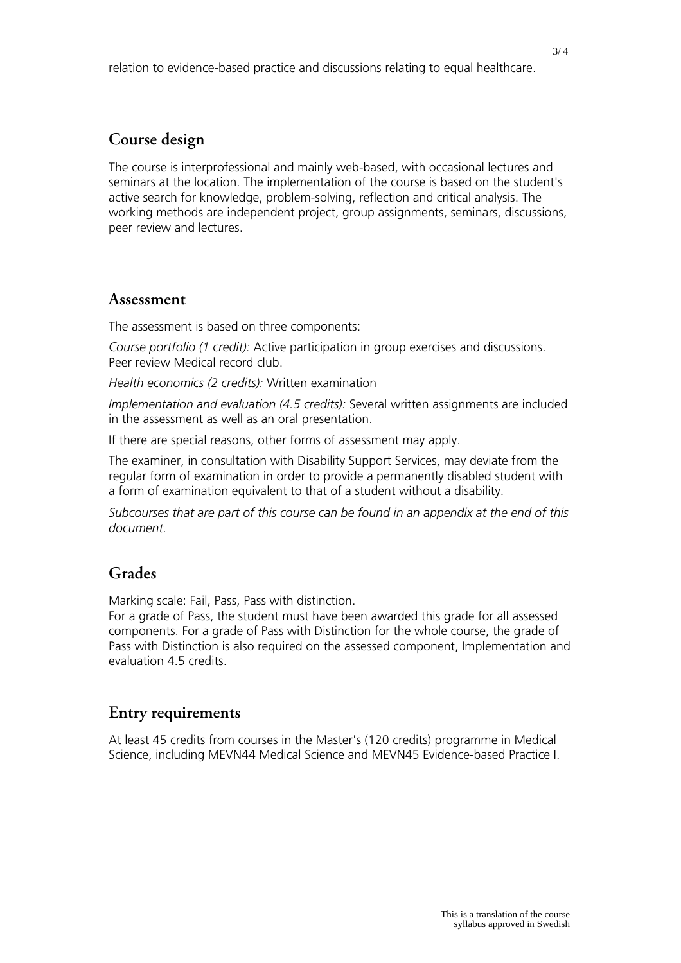# **Course design**

The course is interprofessional and mainly web-based, with occasional lectures and seminars at the location. The implementation of the course is based on the student's active search for knowledge, problem-solving, reflection and critical analysis. The working methods are independent project, group assignments, seminars, discussions, peer review and lectures.

### **Assessment**

The assessment is based on three components:

*Course portfolio (1 credit):* Active participation in group exercises and discussions. Peer review Medical record club.

*Health economics (2 credits):* Written examination

*Implementation and evaluation (4.5 credits):* Several written assignments are included in the assessment as well as an oral presentation.

If there are special reasons, other forms of assessment may apply.

The examiner, in consultation with Disability Support Services, may deviate from the regular form of examination in order to provide a permanently disabled student with a form of examination equivalent to that of a student without a disability.

*Subcourses that are part of this course can be found in an appendix at the end of this document.*

# **Grades**

Marking scale: Fail, Pass, Pass with distinction.

For a grade of Pass, the student must have been awarded this grade for all assessed components. For a grade of Pass with Distinction for the whole course, the grade of Pass with Distinction is also required on the assessed component, Implementation and evaluation 4.5 credits.

## **Entry requirements**

At least 45 credits from courses in the Master's (120 credits) programme in Medical Science, including MEVN44 Medical Science and MEVN45 Evidence-based Practice I.